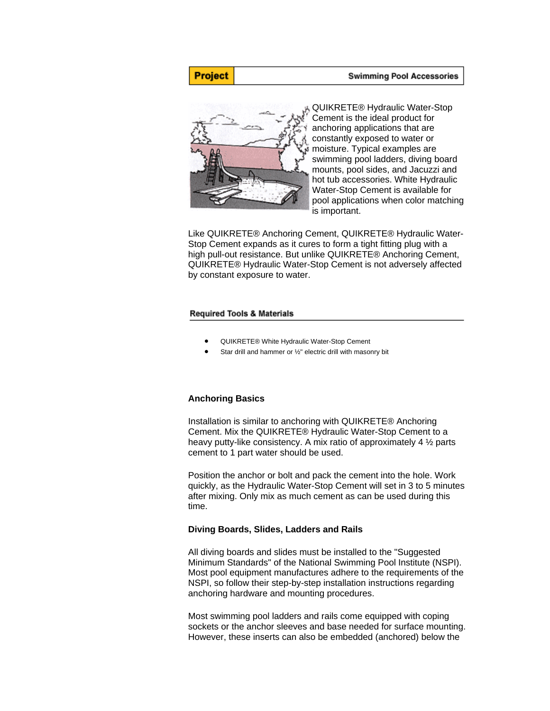### **Swimming Pool Accessories**



QUIKRETE® Hydraulic Water-Stop Cement is the ideal product for anchoring applications that are constantly exposed to water or moisture. Typical examples are swimming pool ladders, diving board mounts, pool sides, and Jacuzzi and hot tub accessories. White Hydraulic Water-Stop Cement is available for pool applications when color matching is important.

Like QUIKRETE® Anchoring Cement, QUIKRETE® Hydraulic Water-Stop Cement expands as it cures to form a tight fitting plug with a high pull-out resistance. But unlike QUIKRETE® Anchoring Cement, QUIKRETE® Hydraulic Water-Stop Cement is not adversely affected by constant exposure to water.

### **Required Tools & Materials**

- QUIKRETE® White Hydraulic Water-Stop Cement
- Star drill and hammer or ½" electric drill with masonry bit

## **Anchoring Basics**

Installation is similar to anchoring with QUIKRETE® Anchoring Cement. Mix the QUIKRETE® Hydraulic Water-Stop Cement to a heavy putty-like consistency. A mix ratio of approximately 4 ½ parts cement to 1 part water should be used.

Position the anchor or bolt and pack the cement into the hole. Work quickly, as the Hydraulic Water-Stop Cement will set in 3 to 5 minutes after mixing. Only mix as much cement as can be used during this time.

### **Diving Boards, Slides, Ladders and Rails**

All diving boards and slides must be installed to the "Suggested Minimum Standards" of the National Swimming Pool Institute (NSPI). Most pool equipment manufactures adhere to the requirements of the NSPI, so follow their step-by-step installation instructions regarding anchoring hardware and mounting procedures.

Most swimming pool ladders and rails come equipped with coping sockets or the anchor sleeves and base needed for surface mounting. However, these inserts can also be embedded (anchored) below the

# Project